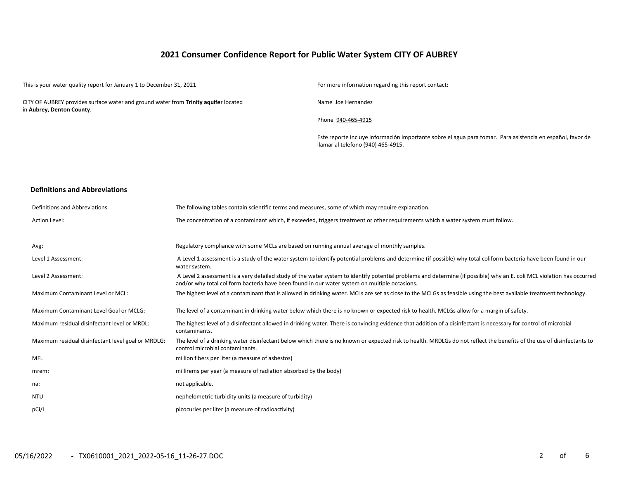## **2021 Consumer Confidence Report for Public Water System CITY OF AUBREY**

This is your water quality report for January 1 to December 31, 2021 For more information regarding this report contact:

CITY OF AUBREY provides surface water and ground water from **Trinity aquifer** located in **Aubrey, Denton County**.

Name Joe Hernandez

Phone 940-465-4915

Este reporte incluye información importante sobre el agua para tomar. Para asistencia en español, favor de llamar al telefono (940) 465-4915.

#### **Definitions and Abbreviations**

| Definitions and Abbreviations                      | The following tables contain scientific terms and measures, some of which may require explanation.                                                                                                                                                                      |
|----------------------------------------------------|-------------------------------------------------------------------------------------------------------------------------------------------------------------------------------------------------------------------------------------------------------------------------|
| Action Level:                                      | The concentration of a contaminant which, if exceeded, triggers treatment or other requirements which a water system must follow.                                                                                                                                       |
| Avg:                                               | Regulatory compliance with some MCLs are based on running annual average of monthly samples.                                                                                                                                                                            |
| Level 1 Assessment:                                | A Level 1 assessment is a study of the water system to identify potential problems and determine (if possible) why total coliform bacteria have been found in our<br>water system.                                                                                      |
| Level 2 Assessment:                                | A Level 2 assessment is a very detailed study of the water system to identify potential problems and determine (if possible) why an E. coli MCL violation has occurred<br>and/or why total coliform bacteria have been found in our water system on multiple occasions. |
| Maximum Contaminant Level or MCL:                  | The highest level of a contaminant that is allowed in drinking water. MCLs are set as close to the MCLGs as feasible using the best available treatment technology.                                                                                                     |
| Maximum Contaminant Level Goal or MCLG:            | The level of a contaminant in drinking water below which there is no known or expected risk to health. MCLGs allow for a margin of safety.                                                                                                                              |
| Maximum residual disinfectant level or MRDL:       | The highest level of a disinfectant allowed in drinking water. There is convincing evidence that addition of a disinfectant is necessary for control of microbial<br>contaminants.                                                                                      |
| Maximum residual disinfectant level goal or MRDLG: | The level of a drinking water disinfectant below which there is no known or expected risk to health. MRDLGs do not reflect the benefits of the use of disinfectants to<br>control microbial contaminants.                                                               |
| MFL                                                | million fibers per liter (a measure of asbestos)                                                                                                                                                                                                                        |
| mrem:                                              | millirems per year (a measure of radiation absorbed by the body)                                                                                                                                                                                                        |
| na:                                                | not applicable.                                                                                                                                                                                                                                                         |
| <b>NTU</b>                                         | nephelometric turbidity units (a measure of turbidity)                                                                                                                                                                                                                  |
| pCi/L                                              | picocuries per liter (a measure of radioactivity)                                                                                                                                                                                                                       |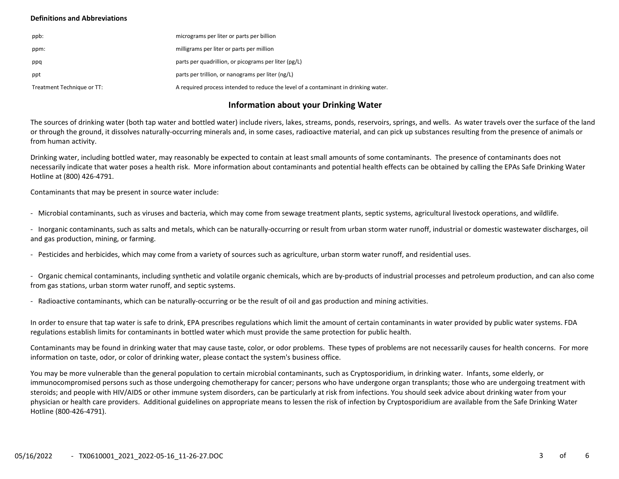### **Definitions and Abbreviations**

| ppb:                       | micrograms per liter or parts per billion                                           |
|----------------------------|-------------------------------------------------------------------------------------|
| ppm:                       | milligrams per liter or parts per million                                           |
| ppq                        | parts per quadrillion, or picograms per liter (pg/L)                                |
| ppt                        | parts per trillion, or nanograms per liter (ng/L)                                   |
| Treatment Technique or TT: | A required process intended to reduce the level of a contaminant in drinking water. |

## **Information about your Drinking Water**

The sources of drinking water (both tap water and bottled water) include rivers, lakes, streams, ponds, reservoirs, springs, and wells. As water travels over the surface of the land or through the ground, it dissolves naturally-occurring minerals and, in some cases, radioactive material, and can pick up substances resulting from the presence of animals or from human activity.

Drinking water, including bottled water, may reasonably be expected to contain at least small amounts of some contaminants. The presence of contaminants does not necessarily indicate that water poses a health risk. More information about contaminants and potential health effects can be obtained by calling the EPAs Safe Drinking Water Hotline at (800) 426-4791.

Contaminants that may be present in source water include:

- Microbial contaminants, such as viruses and bacteria, which may come from sewage treatment plants, septic systems, agricultural livestock operations, and wildlife.

- Inorganic contaminants, such as salts and metals, which can be naturally-occurring or result from urban storm water runoff, industrial or domestic wastewater discharges, oil and gas production, mining, or farming.

- Pesticides and herbicides, which may come from a variety of sources such as agriculture, urban storm water runoff, and residential uses.

- Organic chemical contaminants, including synthetic and volatile organic chemicals, which are by-products of industrial processes and petroleum production, and can also come from gas stations, urban storm water runoff, and septic systems.

- Radioactive contaminants, which can be naturally-occurring or be the result of oil and gas production and mining activities.

In order to ensure that tap water is safe to drink, EPA prescribes regulations which limit the amount of certain contaminants in water provided by public water systems. FDA regulations establish limits for contaminants in bottled water which must provide the same protection for public health.

Contaminants may be found in drinking water that may cause taste, color, or odor problems. These types of problems are not necessarily causes for health concerns. For more information on taste, odor, or color of drinking water, please contact the system's business office.

You may be more vulnerable than the general population to certain microbial contaminants, such as Cryptosporidium, in drinking water. Infants, some elderly, or immunocompromised persons such as those undergoing chemotherapy for cancer; persons who have undergone organ transplants; those who are undergoing treatment with steroids; and people with HIV/AIDS or other immune system disorders, can be particularly at risk from infections. You should seek advice about drinking water from your physician or health care providers. Additional guidelines on appropriate means to lessen the risk of infection by Cryptosporidium are available from the Safe Drinking Water Hotline (800-426-4791).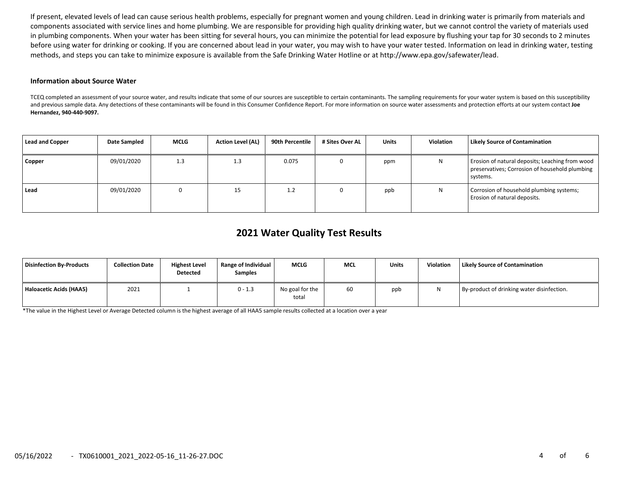If present, elevated levels of lead can cause serious health problems, especially for pregnant women and young children. Lead in drinking water is primarily from materials and components associated with service lines and home plumbing. We are responsible for providing high quality drinking water, but we cannot control the variety of materials used in plumbing components. When your water has been sitting for several hours, you can minimize the potential for lead exposure by flushing your tap for 30 seconds to 2 minutes before using water for drinking or cooking. If you are concerned about lead in your water, you may wish to have your water tested. Information on lead in drinking water, testing methods, and steps you can take to minimize exposure is available from the Safe Drinking Water Hotline or at http://www.epa.gov/safewater/lead.

#### **Information about Source Water**

TCEQ completed an assessment of your source water, and results indicate that some of our sources are susceptible to certain contaminants. The sampling requirements for your water system is based on this susceptibility and previous sample data. Any detections of these contaminants will be found in this Consumer Confidence Report. For more information on source water assessments and protection efforts at our system contact **Joe Hernandez, 940-440-9097.**

| <b>Lead and Copper</b> | Date Sampled | <b>MCLG</b> | <b>Action Level (AL)</b> | 90th Percentile | # Sites Over AL | <b>Units</b> | Violation | <b>Likely Source of Contamination</b>                                                                         |
|------------------------|--------------|-------------|--------------------------|-----------------|-----------------|--------------|-----------|---------------------------------------------------------------------------------------------------------------|
| Copper                 | 09/01/2020   | 1.3         | 1.3                      | 0.075           |                 | ppm          | Ν         | Erosion of natural deposits; Leaching from wood<br>preservatives; Corrosion of household plumbing<br>systems. |
| Lead                   | 09/01/2020   |             | 15                       | 1.2             |                 | ppb          | N         | Corrosion of household plumbing systems;<br>Erosion of natural deposits.                                      |

# **2021 Water Quality Test Results**

| Disinfection By-Products | <b>Collection Date</b> | <b>Highest Level</b><br><b>Detected</b> | Range of Individual<br>Samples | <b>MCLG</b>              | <b>MCL</b> | <b>Units</b> | Violation | Likely Source of Contamination             |
|--------------------------|------------------------|-----------------------------------------|--------------------------------|--------------------------|------------|--------------|-----------|--------------------------------------------|
| Haloacetic Acids (HAA5)  | 2021                   |                                         | $0 - 1.3$                      | No goal for the<br>total | 60         | ppb          |           | By-product of drinking water disinfection. |

\*The value in the Highest Level or Average Detected column is the highest average of all HAA5 sample results collected at a location over a year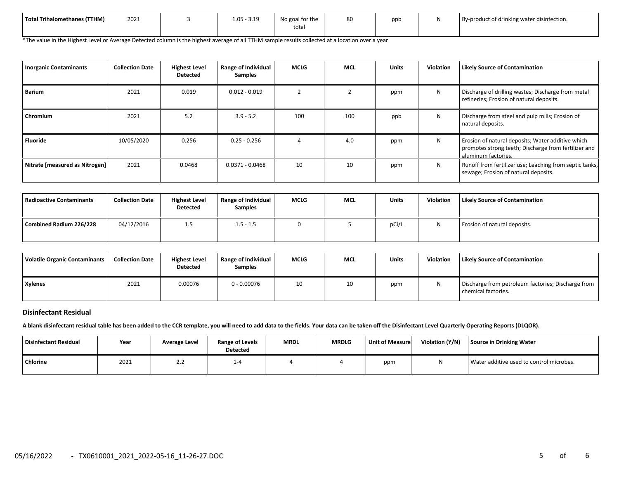| Total Trihalomethanes (TTHM) | 2021 | $1.05 - ?$<br>240 | No goal for the<br>tota. | 80 | nnt. | By-product of drinking water disinfection. |
|------------------------------|------|-------------------|--------------------------|----|------|--------------------------------------------|
|                              |      |                   |                          |    |      |                                            |

\*The value in the Highest Level or Average Detected column is the highest average of all TTHM sample results collected at a location over a year

| <b>Inorganic Contaminants</b>  | <b>Collection Date</b> | <b>Highest Level</b><br><b>Detected</b> | Range of Individual<br><b>Samples</b> | <b>MCLG</b> | <b>MCL</b> | <b>Units</b> | Violation | <b>Likely Source of Contamination</b>                                                                                            |
|--------------------------------|------------------------|-----------------------------------------|---------------------------------------|-------------|------------|--------------|-----------|----------------------------------------------------------------------------------------------------------------------------------|
| <b>Barium</b>                  | 2021                   | 0.019                                   | $0.012 - 0.019$                       |             |            | ppm          | N         | Discharge of drilling wastes; Discharge from metal<br>refineries; Erosion of natural deposits.                                   |
| Chromium                       | 2021                   | 5.2                                     | $3.9 - 5.2$                           | 100         | 100        | ppb          | N         | Discharge from steel and pulp mills; Erosion of<br>natural deposits.                                                             |
| <b>Fluoride</b>                | 10/05/2020             | 0.256                                   | $0.25 - 0.256$                        |             | 4.0        | ppm          | N         | Erosion of natural deposits; Water additive which<br>promotes strong teeth; Discharge from fertilizer and<br>aluminum factories. |
| Nitrate [measured as Nitrogen] | 2021                   | 0.0468                                  | $0.0371 - 0.0468$                     | 10          | 10         | ppm          | N         | Runoff from fertilizer use; Leaching from septic tanks,<br>sewage; Erosion of natural deposits.                                  |

| l Radioactive Contaminants | <b>Collection Date</b> | <b>Highest Level</b><br><b>Detected</b> | Range of Individual<br><b>Samples</b> | <b>MCLG</b> | <b>MCL</b> | <b>Units</b> | <b>Violation</b> | <b>Likely Source of Contamination</b> |
|----------------------------|------------------------|-----------------------------------------|---------------------------------------|-------------|------------|--------------|------------------|---------------------------------------|
| Combined Radium 226/228    | 04/12/2016             | 1.5                                     | $1.5 - 1.5$                           |             |            | pCi/l        | N                | Erosion of natural deposits.          |

| Volatile Organic Contaminants | <b>Collection Date</b> | <b>Highest Level</b><br><b>Detected</b> | Range of Individual<br><b>Samples</b> | <b>MCLG</b> | <b>MCL</b> | Units | Violation | Likely Source of Contamination                                            |
|-------------------------------|------------------------|-----------------------------------------|---------------------------------------|-------------|------------|-------|-----------|---------------------------------------------------------------------------|
| Xylenes                       | 2021                   | 0.00076                                 | $0 - 0.00076$                         | 10          | 10         | ppm   |           | Discharge from petroleum factories; Discharge from<br>chemical factories. |

### **Disinfectant Residual**

**A blank disinfectant residual table has been added to the CCR template, you will need to add data to the fields. Your data can be taken off the Disinfectant Level Quarterly Operating Reports (DLQOR).**

| Disinfectant Residual | Year | Average Level | Range of Levels<br><b>Detected</b> | <b>MRDL</b> | <b>MRDLG</b> | <b>Unit of Measure</b> | Violation (Y/N) | Source in Drinking Water                 |
|-----------------------|------|---------------|------------------------------------|-------------|--------------|------------------------|-----------------|------------------------------------------|
| <b>Chlorine</b>       | 2021 | ے ۔           | ⊥-"                                |             |              | ppm                    | 1 V             | Water additive used to control microbes. |